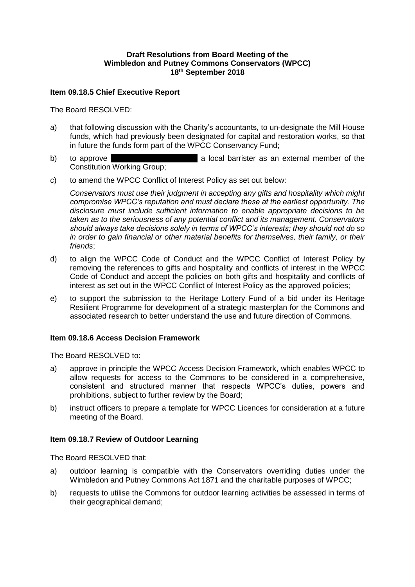## **Draft Resolutions from Board Meeting of the Wimbledon and Putney Commons Conservators (WPCC) 18th September 2018**

### **Item 09.18.5 Chief Executive Report**

The Board RESOLVED:

- a) that following discussion with the Charity's accountants, to un-designate the Mill House funds, which had previously been designated for capital and restoration works, so that in future the funds form part of the WPCC Conservancy Fund;
- b) to approve  $\blacksquare$  **b** a local barrister as an external member of the Constitution Working Group;
- c) to amend the WPCC Conflict of Interest Policy as set out below:

*Conservators must use their judgment in accepting any gifts and hospitality which might compromise WPCC's reputation and must declare these at the earliest opportunity. The disclosure must include sufficient information to enable appropriate decisions to be taken as to the seriousness of any potential conflict and its management. Conservators should always take decisions solely in terms of WPCC's interests; they should not do so in order to gain financial or other material benefits for themselves, their family, or their friends*;

- d) to align the WPCC Code of Conduct and the WPCC Conflict of Interest Policy by removing the references to gifts and hospitality and conflicts of interest in the WPCC Code of Conduct and accept the policies on both gifts and hospitality and conflicts of interest as set out in the WPCC Conflict of Interest Policy as the approved policies;
- e) to support the submission to the Heritage Lottery Fund of a bid under its Heritage Resilient Programme for development of a strategic masterplan for the Commons and associated research to better understand the use and future direction of Commons.

# **Item 09.18.6 Access Decision Framework**

The Board RESOLVED to:

- a) approve in principle the WPCC Access Decision Framework, which enables WPCC to allow requests for access to the Commons to be considered in a comprehensive, consistent and structured manner that respects WPCC's duties, powers and prohibitions, subject to further review by the Board;
- b) instruct officers to prepare a template for WPCC Licences for consideration at a future meeting of the Board.

#### **Item 09.18.7 Review of Outdoor Learning**

The Board RESOLVED that:

- a) outdoor learning is compatible with the Conservators overriding duties under the Wimbledon and Putney Commons Act 1871 and the charitable purposes of WPCC;
- b) requests to utilise the Commons for outdoor learning activities be assessed in terms of their geographical demand;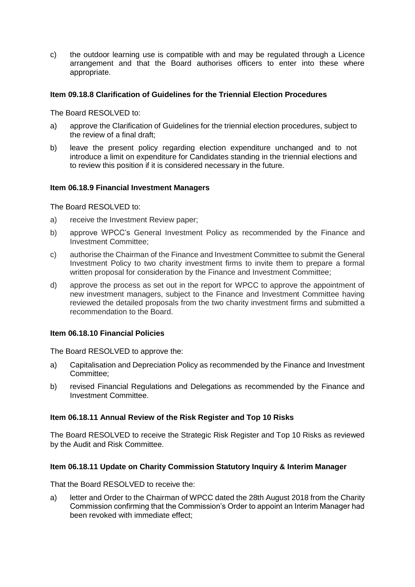c) the outdoor learning use is compatible with and may be regulated through a Licence arrangement and that the Board authorises officers to enter into these where appropriate.

# **Item 09.18.8 Clarification of Guidelines for the Triennial Election Procedures**

The Board RESOLVED to:

- a) approve the Clarification of Guidelines for the triennial election procedures, subject to the review of a final draft;
- b) leave the present policy regarding election expenditure unchanged and to not introduce a limit on expenditure for Candidates standing in the triennial elections and to review this position if it is considered necessary in the future.

### **Item 06.18.9 Financial Investment Managers**

The Board RESOLVED to:

- a) receive the Investment Review paper;
- b) approve WPCC's General Investment Policy as recommended by the Finance and Investment Committee;
- c) authorise the Chairman of the Finance and Investment Committee to submit the General Investment Policy to two charity investment firms to invite them to prepare a formal written proposal for consideration by the Finance and Investment Committee;
- d) approve the process as set out in the report for WPCC to approve the appointment of new investment managers, subject to the Finance and Investment Committee having reviewed the detailed proposals from the two charity investment firms and submitted a recommendation to the Board.

### **Item 06.18.10 Financial Policies**

The Board RESOLVED to approve the:

- a) Capitalisation and Depreciation Policy as recommended by the Finance and Investment Committee;
- b) revised Financial Regulations and Delegations as recommended by the Finance and Investment Committee.

#### **Item 06.18.11 Annual Review of the Risk Register and Top 10 Risks**

The Board RESOLVED to receive the Strategic Risk Register and Top 10 Risks as reviewed by the Audit and Risk Committee.

#### **Item 06.18.11 Update on Charity Commission Statutory Inquiry & Interim Manager**

That the Board RESOLVED to receive the:

a) letter and Order to the Chairman of WPCC dated the 28th August 2018 from the Charity Commission confirming that the Commission's Order to appoint an Interim Manager had been revoked with immediate effect;